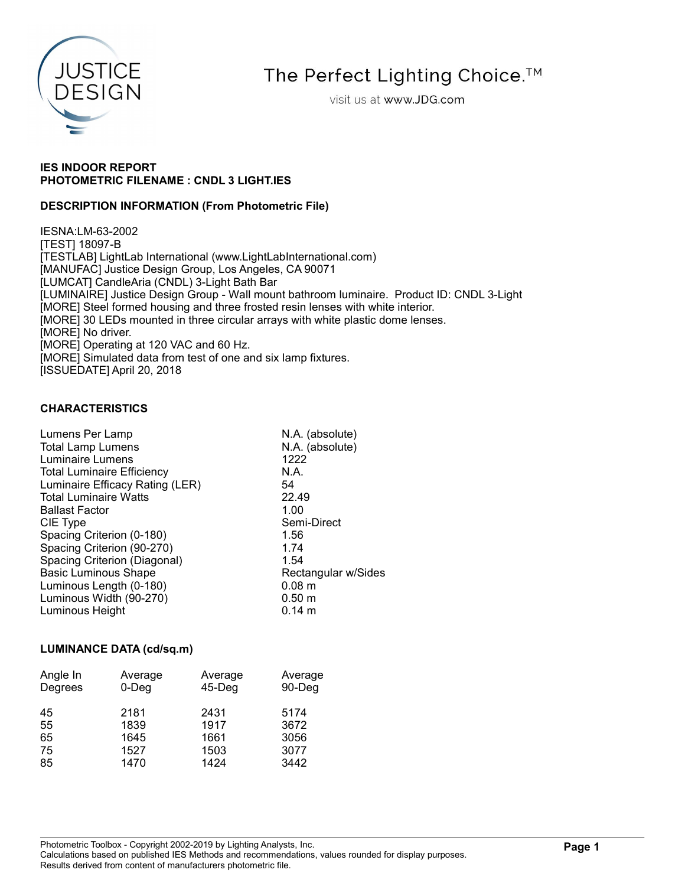

# The Perfect Lighting Choice.<sup>™</sup>

visit us at www.JDG.com

## IES INDOOR REPORT PHOTOMETRIC FILENAME : CNDL 3 LIGHT.IES

## DESCRIPTION INFORMATION (From Photometric File)

IESNA:LM-63-2002 [TEST] 18097-B [TESTLAB] LightLab International (www.LightLabInternational.com) [MANUFAC] Justice Design Group, Los Angeles, CA 90071 [LUMCAT] CandleAria (CNDL) 3-Light Bath Bar [LUMINAIRE] Justice Design Group - Wall mount bathroom luminaire. Product ID: CNDL 3-Light [MORE] Steel formed housing and three frosted resin lenses with white interior. [MORE] 30 LEDs mounted in three circular arrays with white plastic dome lenses. [MORE] No driver. [MORE] Operating at 120 VAC and 60 Hz. [MORE] Simulated data from test of one and six lamp fixtures. [ISSUEDATE] April 20, 2018

## CHARACTERISTICS

| Lumens Per Lamp                   | N.A. (absolute)     |
|-----------------------------------|---------------------|
| <b>Total Lamp Lumens</b>          | N.A. (absolute)     |
| <b>Luminaire Lumens</b>           | 1222                |
| <b>Total Luminaire Efficiency</b> | N.A.                |
| Luminaire Efficacy Rating (LER)   | 54                  |
| <b>Total Luminaire Watts</b>      | 22.49               |
| <b>Ballast Factor</b>             | 1.00                |
| CIE Type                          | Semi-Direct         |
| Spacing Criterion (0-180)         | 1.56                |
| Spacing Criterion (90-270)        | 1.74                |
| Spacing Criterion (Diagonal)      | 1.54                |
| <b>Basic Luminous Shape</b>       | Rectangular w/Sides |
| Luminous Length (0-180)           | 0.08 <sub>m</sub>   |
| Luminous Width (90-270)           | $0.50 \;{\rm m}$    |
| Luminous Height                   | $0.14 \; m$         |
|                                   |                     |

#### LUMINANCE DATA (cd/sq.m)

| Angle In<br>Degrees | Average<br>$0$ -Deg | Average<br>$45$ -Deg | Average<br>90-Deg |
|---------------------|---------------------|----------------------|-------------------|
| 45                  | 2181                | 2431                 | 5174              |
| 55                  | 1839                | 1917                 | 3672              |
| 65                  | 1645                | 1661                 | 3056              |
| 75                  | 1527                | 1503                 | 3077              |
| 85                  | 1470                | 1424                 | 3442              |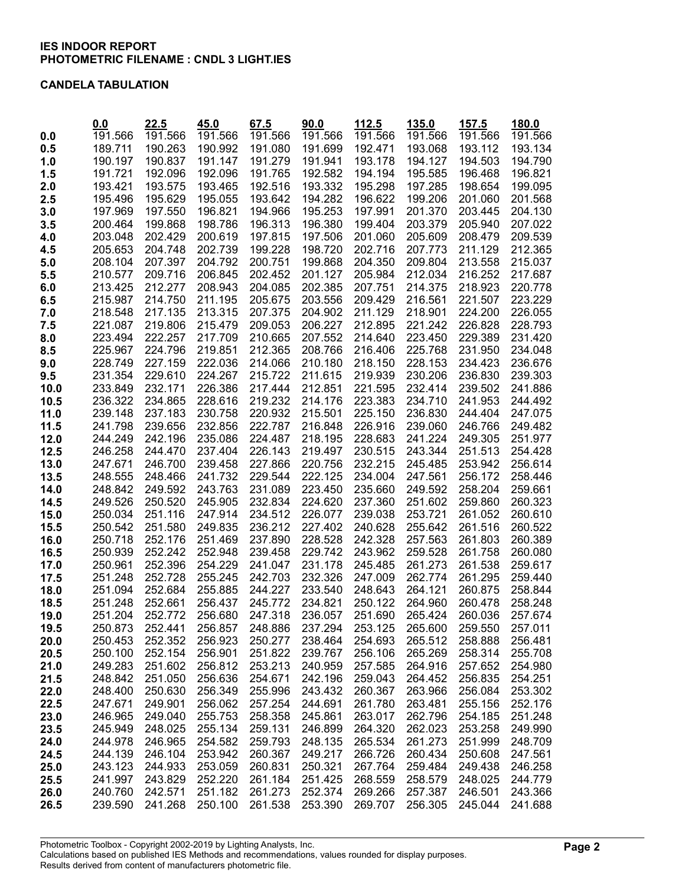#### CANDELA TABULATION

|              | 0.0                | 22.5               | 45.0               | 67.5<br>191.566    | 90.0               | 112.5              | 135.0              | 157.5<br>191.566   | 180.0<br>191.566   |
|--------------|--------------------|--------------------|--------------------|--------------------|--------------------|--------------------|--------------------|--------------------|--------------------|
| 0.0          | 191.566            | 191.566<br>190.263 | 191.566            |                    | 191.566<br>191.699 | 191.566            | 191.566            |                    |                    |
| 0.5          | 189.711<br>190.197 | 190.837            | 190.992<br>191.147 | 191.080<br>191.279 | 191.941            | 192.471<br>193.178 | 193.068<br>194.127 | 193.112<br>194.503 | 193.134<br>194.790 |
| 1.0          | 191.721            | 192.096            | 192.096            | 191.765            | 192.582            | 194.194            | 195.585            | 196.468            | 196.821            |
| 1.5          | 193.421            | 193.575            | 193.465            | 192.516            | 193.332            | 195.298            | 197.285            | 198.654            | 199.095            |
| 2.0<br>2.5   | 195.496            | 195.629            | 195.055            | 193.642            | 194.282            | 196.622            | 199.206            | 201.060            | 201.568            |
| 3.0          | 197.969            | 197.550            | 196.821            | 194.966            | 195.253            | 197.991            | 201.370            | 203.445            | 204.130            |
| 3.5          | 200.464            | 199.868            | 198.786            | 196.313            | 196.380            | 199.404            | 203.379            | 205.940            | 207.022            |
| 4.0          | 203.048            | 202.429            | 200.619            | 197.815            | 197.506            | 201.060            | 205.609            | 208.479            | 209.539            |
| 4.5          | 205.653            | 204.748            | 202.739            | 199.228            | 198.720            | 202.716            | 207.773            | 211.129            | 212.365            |
| 5.0          | 208.104            | 207.397            | 204.792            | 200.751            | 199.868            | 204.350            | 209.804            | 213.558            | 215.037            |
| 5.5          | 210.577            | 209.716            | 206.845            | 202.452            | 201.127            | 205.984            | 212.034            | 216.252            | 217.687            |
| 6.0          | 213.425            | 212.277            | 208.943            | 204.085            | 202.385            | 207.751            | 214.375            | 218.923            | 220.778            |
| 6.5          | 215.987            | 214.750            | 211.195            | 205.675            | 203.556            | 209.429            | 216.561            | 221.507            | 223.229            |
| 7.0          | 218.548            | 217.135            | 213.315            | 207.375            | 204.902            | 211.129            | 218.901            | 224.200            | 226.055            |
| 7.5          | 221.087            | 219.806            | 215.479            | 209.053            | 206.227            | 212.895            | 221.242            | 226.828            | 228.793            |
| 8.0          | 223.494            | 222.257            | 217.709            | 210.665            | 207.552            | 214.640            | 223.450            | 229.389            | 231.420            |
| 8.5          | 225.967            | 224.796            | 219.851            | 212.365            | 208.766            | 216.406            | 225.768            | 231.950            | 234.048            |
| 9.0          | 228.749            | 227.159            | 222.036            | 214.066            | 210.180            | 218.150            | 228.153            | 234.423            | 236.676            |
| 9.5          | 231.354            | 229.610            | 224.267            | 215.722            | 211.615            | 219.939            | 230.206            | 236.830            | 239.303            |
| 10.0         | 233.849            | 232.171            | 226.386            | 217.444            | 212.851            | 221.595            | 232.414            | 239.502            | 241.886            |
| 10.5         | 236.322            | 234.865            | 228.616            | 219.232            | 214.176            | 223.383            | 234.710            | 241.953            | 244.492            |
| 11.0         | 239.148            | 237.183            | 230.758            | 220.932            | 215.501            | 225.150            | 236.830            | 244.404            | 247.075            |
| 11.5         | 241.798            | 239.656            | 232.856            | 222.787            | 216.848            | 226.916            | 239.060            | 246.766            | 249.482            |
| 12.0         | 244.249            | 242.196            | 235.086            | 224.487            | 218.195            | 228.683            | 241.224            | 249.305            | 251.977            |
| 12.5         | 246.258            | 244.470            | 237.404            | 226.143            | 219.497            | 230.515            | 243.344            | 251.513            | 254.428            |
| 13.0         | 247.671            | 246.700            | 239.458            | 227.866            | 220.756            | 232.215            | 245.485            | 253.942            | 256.614            |
| 13.5         | 248.555            | 248.466            | 241.732            | 229.544            | 222.125            | 234.004            | 247.561            | 256.172            | 258.446            |
| 14.0         | 248.842            | 249.592            | 243.763            | 231.089            | 223.450            | 235.660            | 249.592            | 258.204            | 259.661            |
| 14.5         | 249.526            | 250.520            | 245.905            | 232.834            | 224.620            | 237.360            | 251.602            | 259.860            | 260.323            |
| 15.0         | 250.034            | 251.116            | 247.914            | 234.512            | 226.077            | 239.038            | 253.721            | 261.052            | 260.610            |
| 15.5         | 250.542            | 251.580            | 249.835            | 236.212            | 227.402            | 240.628            | 255.642            | 261.516            | 260.522            |
| 16.0         | 250.718<br>250.939 | 252.176<br>252.242 | 251.469<br>252.948 | 237.890<br>239.458 | 228.528<br>229.742 | 242.328<br>243.962 | 257.563<br>259.528 | 261.803<br>261.758 | 260.389<br>260.080 |
| 16.5<br>17.0 | 250.961            | 252.396            | 254.229            | 241.047            | 231.178            | 245.485            | 261.273            | 261.538            | 259.617            |
| 17.5         | 251.248            | 252.728            | 255.245            | 242.703            | 232.326            | 247.009            | 262.774            | 261.295            | 259.440            |
| 18.0         | 251.094            | 252.684            | 255.885            | 244.227            | 233.540            | 248.643            | 264.121            | 260.875            | 258.844            |
| 18.5         | 251.248            | 252.661            | 256.437            | 245.772            | 234.821            | 250.122            | 264.960            | 260.478            | 258.248            |
| 19.0         | 251.204            | 252.772            | 256.680            |                    | 247.318 236.057    | 251.690            | 265.424            | 260.036            | 257.674            |
| 19.5         | 250.873            | 252.441            | 256.857            | 248.886            | 237.294            | 253.125            | 265.600            | 259.550            | 257.011            |
| 20.0         | 250.453            | 252.352            | 256.923            | 250.277            | 238.464            | 254.693            | 265.512            | 258.888            | 256.481            |
| 20.5         | 250.100            | 252.154            | 256.901            | 251.822            | 239.767            | 256.106            | 265.269            | 258.314            | 255.708            |
| 21.0         | 249.283            | 251.602            | 256.812            | 253.213            | 240.959            | 257.585            | 264.916            | 257.652            | 254.980            |
| 21.5         | 248.842            | 251.050            | 256.636            | 254.671            | 242.196            | 259.043            | 264.452            | 256.835            | 254.251            |
| 22.0         | 248.400            | 250.630            | 256.349            | 255.996            | 243.432            | 260.367            | 263.966            | 256.084            | 253.302            |
| 22.5         | 247.671            | 249.901            | 256.062            | 257.254            | 244.691            | 261.780            | 263.481            | 255.156            | 252.176            |
| 23.0         | 246.965            | 249.040            | 255.753            | 258.358            | 245.861            | 263.017            | 262.796            | 254.185            | 251.248            |
| 23.5         | 245.949            | 248.025            | 255.134            | 259.131            | 246.899            | 264.320            | 262.023            | 253.258            | 249.990            |
| 24.0         | 244.978            | 246.965            | 254.582            | 259.793            | 248.135            | 265.534            | 261.273            | 251.999            | 248.709            |
| 24.5         | 244.139            | 246.104            | 253.942            | 260.367            | 249.217            | 266.726            | 260.434            | 250.608            | 247.561            |
| 25.0         | 243.123            | 244.933            | 253.059            | 260.831            | 250.321            | 267.764            | 259.484            | 249.438            | 246.258            |
| 25.5         | 241.997            | 243.829            | 252.220            | 261.184            | 251.425            | 268.559            | 258.579            | 248.025            | 244.779            |
| 26.0         | 240.760            | 242.571            | 251.182            | 261.273            | 252.374            | 269.266            | 257.387            | 246.501            | 243.366            |
| 26.5         | 239.590            | 241.268            | 250.100            | 261.538            | 253.390            | 269.707            | 256.305            | 245.044            | 241.688            |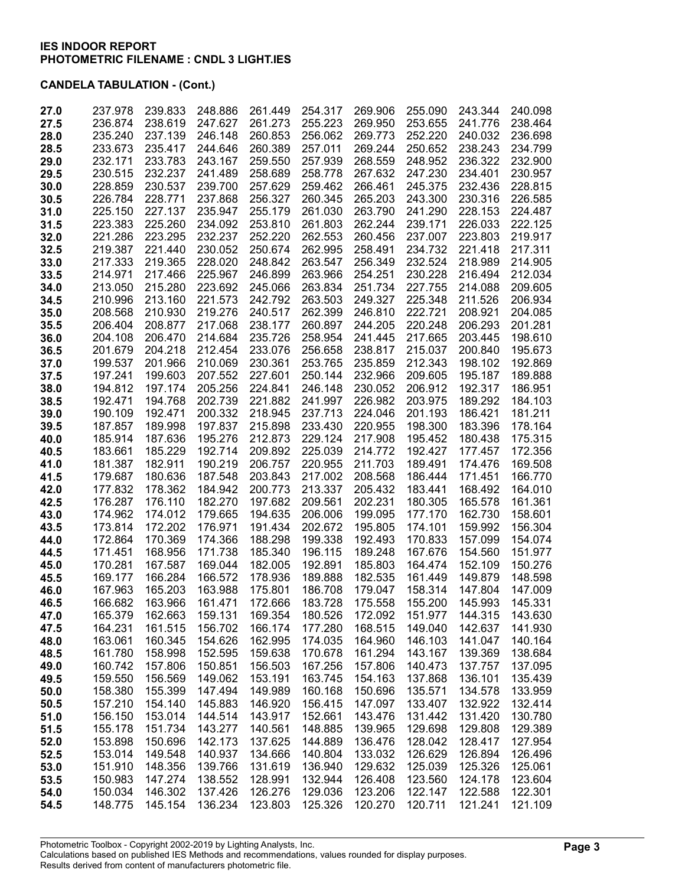| 27.0 | 237.978 | 239.833 | 248.886 | 261.449 | 254.317 | 269.906 | 255.090 | 243.344 | 240.098 |
|------|---------|---------|---------|---------|---------|---------|---------|---------|---------|
| 27.5 | 236.874 | 238.619 | 247.627 | 261.273 | 255.223 | 269.950 | 253.655 | 241.776 | 238.464 |
| 28.0 | 235.240 | 237.139 | 246.148 | 260.853 | 256.062 | 269.773 | 252.220 | 240.032 | 236.698 |
| 28.5 | 233.673 | 235.417 | 244.646 | 260.389 | 257.011 | 269.244 | 250.652 | 238.243 | 234.799 |
|      | 232.171 |         | 243.167 | 259.550 | 257.939 |         | 248.952 | 236.322 | 232.900 |
| 29.0 |         | 233.783 |         |         |         | 268.559 |         |         |         |
| 29.5 | 230.515 | 232.237 | 241.489 | 258.689 | 258.778 | 267.632 | 247.230 | 234.401 | 230.957 |
| 30.0 | 228.859 | 230.537 | 239.700 | 257.629 | 259.462 | 266.461 | 245.375 | 232.436 | 228.815 |
| 30.5 | 226.784 | 228.771 | 237.868 | 256.327 | 260.345 | 265.203 | 243.300 | 230.316 | 226.585 |
| 31.0 | 225.150 | 227.137 | 235.947 | 255.179 | 261.030 | 263.790 | 241.290 | 228.153 | 224.487 |
| 31.5 | 223.383 | 225.260 | 234.092 | 253.810 | 261.803 | 262.244 | 239.171 | 226.033 | 222.125 |
| 32.0 | 221.286 | 223.295 | 232.237 | 252.220 | 262.553 | 260.456 | 237.007 | 223.803 | 219.917 |
| 32.5 | 219.387 | 221.440 | 230.052 | 250.674 | 262.995 | 258.491 | 234.732 | 221.418 | 217.311 |
| 33.0 | 217.333 | 219.365 | 228.020 | 248.842 | 263.547 | 256.349 | 232.524 | 218.989 | 214.905 |
|      |         |         |         |         |         |         |         |         |         |
| 33.5 | 214.971 | 217.466 | 225.967 | 246.899 | 263.966 | 254.251 | 230.228 | 216.494 | 212.034 |
| 34.0 | 213.050 | 215.280 | 223.692 | 245.066 | 263.834 | 251.734 | 227.755 | 214.088 | 209.605 |
| 34.5 | 210.996 | 213.160 | 221.573 | 242.792 | 263.503 | 249.327 | 225.348 | 211.526 | 206.934 |
| 35.0 | 208.568 | 210.930 | 219.276 | 240.517 | 262.399 | 246.810 | 222.721 | 208.921 | 204.085 |
| 35.5 | 206.404 | 208.877 | 217.068 | 238.177 | 260.897 | 244.205 | 220.248 | 206.293 | 201.281 |
| 36.0 | 204.108 | 206.470 | 214.684 | 235.726 | 258.954 | 241.445 | 217.665 | 203.445 | 198.610 |
| 36.5 | 201.679 | 204.218 | 212.454 | 233.076 | 256.658 | 238.817 | 215.037 | 200.840 | 195.673 |
| 37.0 | 199.537 | 201.966 | 210.069 | 230.361 | 253.765 | 235.859 | 212.343 | 198.102 | 192.869 |
| 37.5 | 197.241 | 199.603 | 207.552 | 227.601 | 250.144 | 232.966 | 209.605 | 195.187 | 189.888 |
|      |         |         |         |         |         |         |         |         |         |
| 38.0 | 194.812 | 197.174 | 205.256 | 224.841 | 246.148 | 230.052 | 206.912 | 192.317 | 186.951 |
| 38.5 | 192.471 | 194.768 | 202.739 | 221.882 | 241.997 | 226.982 | 203.975 | 189.292 | 184.103 |
| 39.0 | 190.109 | 192.471 | 200.332 | 218.945 | 237.713 | 224.046 | 201.193 | 186.421 | 181.211 |
| 39.5 | 187.857 | 189.998 | 197.837 | 215.898 | 233.430 | 220.955 | 198.300 | 183.396 | 178.164 |
| 40.0 | 185.914 | 187.636 | 195.276 | 212.873 | 229.124 | 217.908 | 195.452 | 180.438 | 175.315 |
| 40.5 | 183.661 | 185.229 | 192.714 | 209.892 | 225.039 | 214.772 | 192.427 | 177.457 | 172.356 |
| 41.0 | 181.387 | 182.911 | 190.219 | 206.757 | 220.955 | 211.703 | 189.491 | 174.476 | 169.508 |
| 41.5 | 179.687 | 180.636 | 187.548 | 203.843 | 217.002 | 208.568 | 186.444 | 171.451 | 166.770 |
| 42.0 | 177.832 | 178.362 | 184.942 | 200.773 | 213.337 | 205.432 | 183.441 | 168.492 | 164.010 |
|      |         |         |         |         |         |         |         |         |         |
| 42.5 | 176.287 | 176.110 | 182.270 | 197.682 | 209.561 | 202.231 | 180.305 | 165.578 | 161.361 |
| 43.0 | 174.962 | 174.012 | 179.665 | 194.635 | 206.006 | 199.095 | 177.170 | 162.730 | 158.601 |
| 43.5 | 173.814 | 172.202 | 176.971 | 191.434 | 202.672 | 195.805 | 174.101 | 159.992 | 156.304 |
| 44.0 | 172.864 | 170.369 | 174.366 | 188.298 | 199.338 | 192.493 | 170.833 | 157.099 | 154.074 |
| 44.5 | 171.451 | 168.956 | 171.738 | 185.340 | 196.115 | 189.248 | 167.676 | 154.560 | 151.977 |
| 45.0 | 170.281 | 167.587 | 169.044 | 182.005 | 192.891 | 185.803 | 164.474 | 152.109 | 150.276 |
| 45.5 | 169.177 | 166.284 | 166.572 | 178.936 | 189.888 | 182.535 | 161.449 | 149.879 | 148.598 |
| 46.0 | 167.963 | 165.203 | 163.988 | 175.801 | 186.708 | 179.047 | 158.314 | 147.804 | 147.009 |
| 46.5 | 166.682 | 163.966 | 161.471 | 172.666 | 183.728 | 175.558 | 155.200 | 145.993 | 145.331 |
| 47.0 | 165.379 | 162.663 | 159.131 | 169.354 | 180.526 | 172.092 | 151.977 | 144.315 | 143.630 |
|      |         |         |         |         |         |         |         |         |         |
| 47.5 | 164.231 | 161.515 | 156.702 | 166.174 | 177.280 | 168.515 | 149.040 | 142.637 | 141.930 |
| 48.0 | 163.061 | 160.345 | 154.626 | 162.995 | 174.035 | 164.960 | 146.103 | 141.047 | 140.164 |
| 48.5 | 161.780 | 158.998 | 152.595 | 159.638 | 170.678 | 161.294 | 143.167 | 139.369 | 138.684 |
| 49.0 | 160.742 | 157.806 | 150.851 | 156.503 | 167.256 | 157.806 | 140.473 | 137.757 | 137.095 |
| 49.5 | 159.550 | 156.569 | 149.062 | 153.191 | 163.745 | 154.163 | 137.868 | 136.101 | 135.439 |
| 50.0 | 158.380 | 155.399 | 147.494 | 149.989 | 160.168 | 150.696 | 135.571 | 134.578 | 133.959 |
| 50.5 | 157.210 | 154.140 | 145.883 | 146.920 | 156.415 | 147.097 | 133.407 | 132.922 | 132.414 |
| 51.0 | 156.150 | 153.014 | 144.514 | 143.917 | 152.661 | 143.476 | 131.442 | 131.420 | 130.780 |
| 51.5 | 155.178 | 151.734 | 143.277 | 140.561 | 148.885 | 139.965 | 129.698 | 129.808 | 129.389 |
|      | 153.898 | 150.696 | 142.173 | 137.625 | 144.889 | 136.476 | 128.042 | 128.417 | 127.954 |
| 52.0 |         |         |         |         |         |         |         |         |         |
| 52.5 | 153.014 | 149.548 | 140.937 | 134.666 | 140.804 | 133.032 | 126.629 | 126.894 | 126.496 |
| 53.0 | 151.910 | 148.356 | 139.766 | 131.619 | 136.940 | 129.632 | 125.039 | 125.326 | 125.061 |
| 53.5 | 150.983 | 147.274 | 138.552 | 128.991 | 132.944 | 126.408 | 123.560 | 124.178 | 123.604 |
| 54.0 | 150.034 | 146.302 | 137.426 | 126.276 | 129.036 | 123.206 | 122.147 | 122.588 | 122.301 |
| 54.5 | 148.775 | 145.154 | 136.234 | 123.803 | 125.326 | 120.270 | 120.711 | 121.241 | 121.109 |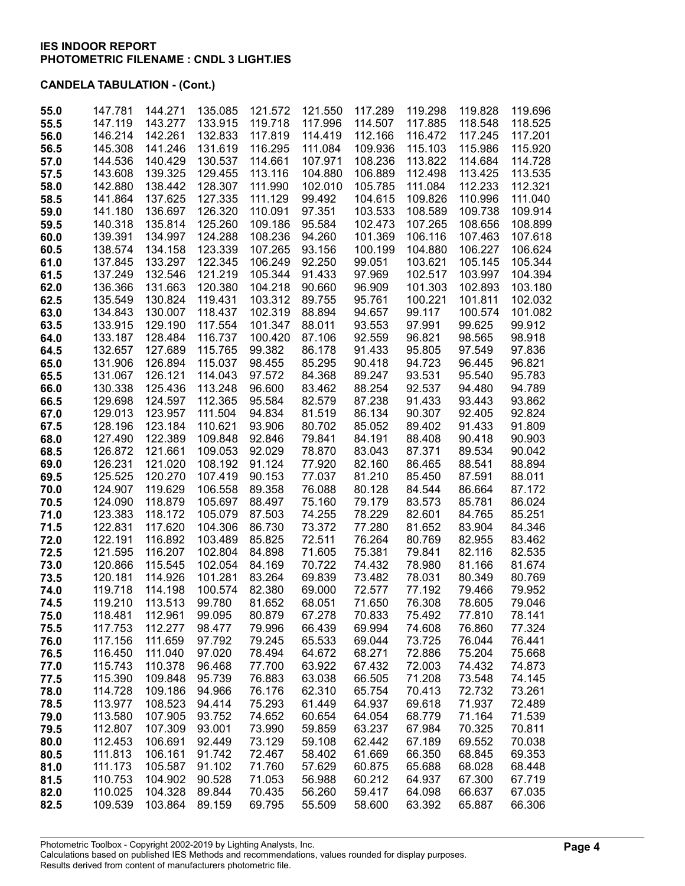| 55.0         | 147.781            | 144.271            | 135.085            | 121.572            | 121.550          | 117.289          | 119.298            | 119.828            | 119.696            |
|--------------|--------------------|--------------------|--------------------|--------------------|------------------|------------------|--------------------|--------------------|--------------------|
| 55.5         | 147.119            | 143.277            | 133.915            | 119.718            | 117.996          | 114.507          | 117.885            | 118.548            | 118.525            |
| 56.0         | 146.214            | 142.261            | 132.833            | 117.819            | 114.419          | 112.166          | 116.472            | 117.245            | 117.201            |
| 56.5         | 145.308            | 141.246            | 131.619            | 116.295            | 111.084          | 109.936          | 115.103            | 115.986            | 115.920            |
| 57.0         | 144.536            | 140.429            | 130.537            | 114.661            | 107.971          | 108.236          | 113.822            | 114.684            | 114.728            |
| 57.5         | 143.608            | 139.325            | 129.455            | 113.116            | 104.880          | 106.889          | 112.498            | 113.425            | 113.535            |
| 58.0         | 142.880            | 138.442            | 128.307            | 111.990            | 102.010          | 105.785          | 111.084            | 112.233            | 112.321            |
| 58.5         | 141.864            | 137.625            | 127.335            | 111.129            | 99.492           | 104.615          | 109.826            | 110.996            | 111.040            |
| 59.0         | 141.180            | 136.697            | 126.320            | 110.091            | 97.351           | 103.533          | 108.589            | 109.738            | 109.914            |
| 59.5         | 140.318            | 135.814            | 125.260            | 109.186            | 95.584           | 102.473          | 107.265            | 108.656            | 108.899            |
| 60.0         | 139.391            | 134.997            | 124.288            | 108.236            | 94.260           | 101.369          | 106.116            | 107.463            | 107.618            |
| 60.5         | 138.574            | 134.158            | 123.339            | 107.265            | 93.156           | 100.199          | 104.880            | 106.227            | 106.624            |
| 61.0         | 137.845            | 133.297            | 122.345            | 106.249            | 92.250           | 99.051           | 103.621            | 105.145            | 105.344            |
| 61.5         | 137.249            | 132.546            | 121.219            | 105.344            | 91.433           | 97.969           | 102.517            | 103.997            | 104.394            |
| 62.0         | 136.366<br>135.549 | 131.663<br>130.824 | 120.380<br>119.431 | 104.218            | 90.660<br>89.755 | 96.909<br>95.761 | 101.303<br>100.221 | 102.893<br>101.811 | 103.180<br>102.032 |
| 62.5         | 134.843            | 130.007            | 118.437            | 103.312<br>102.319 | 88.894           | 94.657           | 99.117             | 100.574            | 101.082            |
| 63.0<br>63.5 | 133.915            | 129.190            | 117.554            | 101.347            | 88.011           | 93.553           | 97.991             | 99.625             | 99.912             |
| 64.0         | 133.187            | 128.484            | 116.737            | 100.420            | 87.106           | 92.559           | 96.821             | 98.565             | 98.918             |
| 64.5         | 132.657            | 127.689            | 115.765            | 99.382             | 86.178           | 91.433           | 95.805             | 97.549             | 97.836             |
| 65.0         | 131.906            | 126.894            | 115.037            | 98.455             | 85.295           | 90.418           | 94.723             | 96.445             | 96.821             |
| 65.5         | 131.067            | 126.121            | 114.043            | 97.572             | 84.368           | 89.247           | 93.531             | 95.540             | 95.783             |
| 66.0         | 130.338            | 125.436            | 113.248            | 96.600             | 83.462           | 88.254           | 92.537             | 94.480             | 94.789             |
| 66.5         | 129.698            | 124.597            | 112.365            | 95.584             | 82.579           | 87.238           | 91.433             | 93.443             | 93.862             |
| 67.0         | 129.013            | 123.957            | 111.504            | 94.834             | 81.519           | 86.134           | 90.307             | 92.405             | 92.824             |
| 67.5         | 128.196            | 123.184            | 110.621            | 93.906             | 80.702           | 85.052           | 89.402             | 91.433             | 91.809             |
| 68.0         | 127.490            | 122.389            | 109.848            | 92.846             | 79.841           | 84.191           | 88.408             | 90.418             | 90.903             |
| 68.5         | 126.872            | 121.661            | 109.053            | 92.029             | 78.870           | 83.043           | 87.371             | 89.534             | 90.042             |
| 69.0         | 126.231            | 121.020            | 108.192            | 91.124             | 77.920           | 82.160           | 86.465             | 88.541             | 88.894             |
| 69.5         | 125.525            | 120.270            | 107.419            | 90.153             | 77.037           | 81.210           | 85.450             | 87.591             | 88.011             |
| 70.0         | 124.907            | 119.629            | 106.558            | 89.358             | 76.088           | 80.128           | 84.544             | 86.664             | 87.172             |
| 70.5         | 124.090            | 118.879            | 105.697            | 88.497             | 75.160           | 79.179           | 83.573             | 85.781             | 86.024             |
| 71.0         | 123.383            | 118.172            | 105.079            | 87.503             | 74.255           | 78.229           | 82.601             | 84.765             | 85.251             |
| 71.5         | 122.831<br>122.191 | 117.620<br>116.892 | 104.306<br>103.489 | 86.730<br>85.825   | 73.372<br>72.511 | 77.280<br>76.264 | 81.652<br>80.769   | 83.904<br>82.955   | 84.346<br>83.462   |
| 72.0<br>72.5 | 121.595            | 116.207            | 102.804            | 84.898             | 71.605           | 75.381           | 79.841             | 82.116             | 82.535             |
| 73.0         | 120.866            | 115.545            | 102.054            | 84.169             | 70.722           | 74.432           | 78.980             | 81.166             | 81.674             |
| 73.5         | 120.181            | 114.926            | 101.281            | 83.264             | 69.839           | 73.482           | 78.031             | 80.349             | 80.769             |
| 74.0         | 119.718            | 114.198            | 100.574            | 82.380             | 69.000           | 72.577           | 77.192             | 79.466             | 79.952             |
| 74.5         | 119.210            | 113.513            | 99.780             | 81.652             | 68.051           | 71.650           | 76.308             | 78.605             | 79.046             |
| 75.0         | 118.481            | 112.961            | 99.095             | 80.879             | 67.278           | 70.833           | 75.492             | 77.810             | 78.141             |
| 75.5         | 117.753            | 112.277            | 98.477             | 79.996             | 66.439           | 69.994           | 74.608             | 76.860             | 77.324             |
| 76.0         | 117.156            | 111.659            | 97.792             | 79.245             | 65.533           | 69.044           | 73.725             | 76.044             | 76.441             |
| 76.5         | 116.450            | 111.040            | 97.020             | 78.494             | 64.672           | 68.271           | 72.886             | 75.204             | 75.668             |
| 77.0         | 115.743            | 110.378            | 96.468             | 77.700             | 63.922           | 67.432           | 72.003             | 74.432             | 74.873             |
| 77.5         | 115.390            | 109.848            | 95.739             | 76.883             | 63.038           | 66.505           | 71.208             | 73.548             | 74.145             |
| 78.0         | 114.728            | 109.186            | 94.966             | 76.176             | 62.310           | 65.754           | 70.413             | 72.732             | 73.261             |
| 78.5         | 113.977            | 108.523            | 94.414             | 75.293             | 61.449           | 64.937           | 69.618             | 71.937             | 72.489             |
| 79.0         | 113.580            | 107.905            | 93.752             | 74.652             | 60.654           | 64.054           | 68.779             | 71.164             | 71.539             |
| 79.5         | 112.807            | 107.309            | 93.001             | 73.990             | 59.859<br>59.108 | 63.237           | 67.984             | 70.325             | 70.811             |
| 80.0<br>80.5 | 112.453<br>111.813 | 106.691<br>106.161 | 92.449<br>91.742   | 73.129<br>72.467   | 58.402           | 62.442<br>61.669 | 67.189<br>66.350   | 69.552<br>68.845   | 70.038<br>69.353   |
| 81.0         | 111.173            | 105.587            | 91.102             | 71.760             | 57.629           | 60.875           | 65.688             | 68.028             | 68.448             |
| 81.5         | 110.753            | 104.902            | 90.528             | 71.053             | 56.988           | 60.212           | 64.937             | 67.300             | 67.719             |
| 82.0         | 110.025            | 104.328            | 89.844             | 70.435             | 56.260           | 59.417           | 64.098             | 66.637             | 67.035             |
| 82.5         | 109.539            | 103.864            | 89.159             | 69.795             | 55.509           | 58.600           | 63.392             | 65.887             | 66.306             |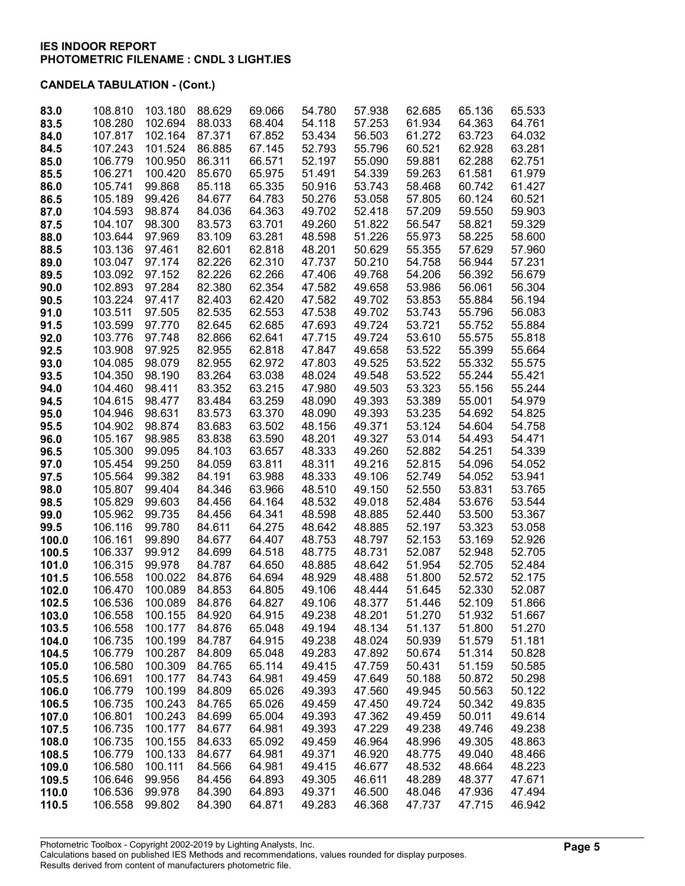| 83.0           | 108.810            | 103.180          | 88.629           | 69.066           | 54.780           | 57.938           | 62.685           | 65.136           | 65.533           |
|----------------|--------------------|------------------|------------------|------------------|------------------|------------------|------------------|------------------|------------------|
| 83.5           | 108.280            | 102.694          | 88.033           | 68.404           | 54.118           | 57.253           | 61.934           | 64.363           | 64.761           |
| 84.0           | 107.817            | 102.164          | 87.371           | 67.852           | 53.434           | 56.503           | 61.272           | 63.723           | 64.032           |
| 84.5           | 107.243            | 101.524          | 86.885           | 67.145           | 52.793           | 55.796           | 60.521           | 62.928           | 63.281           |
| 85.0           | 106.779            | 100.950          | 86.311           | 66.571           | 52.197           | 55.090           | 59.881           | 62.288           | 62.751           |
| 85.5           | 106.271            | 100.420          | 85.670           | 65.975           | 51.491           | 54.339           | 59.263           | 61.581           | 61.979           |
| 86.0           | 105.741            | 99.868           | 85.118           | 65.335           | 50.916           | 53.743           | 58.468           | 60.742           | 61.427           |
| 86.5           | 105.189            | 99.426           | 84.677           | 64.783           | 50.276           | 53.058           | 57.805           | 60.124           | 60.521           |
| 87.0           | 104.593            | 98.874           | 84.036           | 64.363           | 49.702           | 52.418           | 57.209           | 59.550           | 59.903           |
| 87.5           | 104.107            | 98.300           | 83.573           | 63.701           | 49.260           | 51.822           | 56.547           | 58.821           | 59.329           |
| 88.0           | 103.644            | 97.969           | 83.109           | 63.281           | 48.598           | 51.226           | 55.973           | 58.225           | 58.600           |
| 88.5           | 103.136            | 97.461           | 82.601           | 62.818           | 48.201           | 50.629           | 55.355<br>54.758 | 57.629<br>56.944 | 57.960           |
| 89.0<br>89.5   | 103.047<br>103.092 | 97.174<br>97.152 | 82.226<br>82.226 | 62.310<br>62.266 | 47.737           | 50.210<br>49.768 | 54.206           | 56.392           | 57.231<br>56.679 |
| 90.0           | 102.893            | 97.284           | 82.380           | 62.354           | 47.406<br>47.582 | 49.658           | 53.986           | 56.061           | 56.304           |
| 90.5           | 103.224            | 97.417           | 82.403           | 62.420           | 47.582           | 49.702           | 53.853           | 55.884           | 56.194           |
| 91.0           | 103.511            | 97.505           | 82.535           | 62.553           | 47.538           | 49.702           | 53.743           | 55.796           | 56.083           |
| 91.5           | 103.599            | 97.770           | 82.645           | 62.685           | 47.693           | 49.724           | 53.721           | 55.752           | 55.884           |
| 92.0           | 103.776            | 97.748           | 82.866           | 62.641           | 47.715           | 49.724           | 53.610           | 55.575           | 55.818           |
| 92.5           | 103.908            | 97.925           | 82.955           | 62.818           | 47.847           | 49.658           | 53.522           | 55.399           | 55.664           |
| 93.0           | 104.085            | 98.079           | 82.955           | 62.972           | 47.803           | 49.525           | 53.522           | 55.332           | 55.575           |
| 93.5           | 104.350            | 98.190           | 83.264           | 63.038           | 48.024           | 49.548           | 53.522           | 55.244           | 55.421           |
| 94.0           | 104.460            | 98.411           | 83.352           | 63.215           | 47.980           | 49.503           | 53.323           | 55.156           | 55.244           |
| 94.5           | 104.615            | 98.477           | 83.484           | 63.259           | 48.090           | 49.393           | 53.389           | 55.001           | 54.979           |
| 95.0           | 104.946            | 98.631           | 83.573           | 63.370           | 48.090           | 49.393           | 53.235           | 54.692           | 54.825           |
| 95.5           | 104.902            | 98.874           | 83.683           | 63.502           | 48.156           | 49.371           | 53.124           | 54.604           | 54.758           |
| 96.0           | 105.167            | 98.985           | 83.838           | 63.590           | 48.201           | 49.327           | 53.014           | 54.493           | 54.471           |
| 96.5           | 105.300            | 99.095           | 84.103           | 63.657           | 48.333           | 49.260           | 52.882           | 54.251           | 54.339           |
| 97.0           | 105.454            | 99.250           | 84.059           | 63.811           | 48.311           | 49.216           | 52.815           | 54.096           | 54.052           |
| 97.5           | 105.564            | 99.382           | 84.191           | 63.988           | 48.333           | 49.106           | 52.749           | 54.052           | 53.941           |
| 98.0           | 105.807            | 99.404           | 84.346           | 63.966           | 48.510           | 49.150           | 52.550           | 53.831           | 53.765           |
| 98.5           | 105.829            | 99.603           | 84.456           | 64.164           | 48.532           | 49.018           | 52.484           | 53.676           | 53.544           |
| 99.0           | 105.962            | 99.735           | 84.456           | 64.341           | 48.598           | 48.885           | 52.440           | 53.500           | 53.367           |
| 99.5           | 106.116            | 99.780           | 84.611           | 64.275           | 48.642           | 48.885           | 52.197           | 53.323           | 53.058           |
| 100.0          | 106.161<br>106.337 | 99.890<br>99.912 | 84.677<br>84.699 | 64.407<br>64.518 | 48.753<br>48.775 | 48.797<br>48.731 | 52.153<br>52.087 | 53.169<br>52.948 | 52.926           |
| 100.5<br>101.0 | 106.315            | 99.978           | 84.787           | 64.650           | 48.885           | 48.642           | 51.954           | 52.705           | 52.705<br>52.484 |
| 101.5          | 106.558            | 100.022          | 84.876           | 64.694           | 48.929           | 48.488           | 51.800           | 52.572           | 52.175           |
| 102.0          | 106.470            | 100.089          | 84.853           | 64.805           | 49.106           | 48.444           | 51.645           | 52.330           | 52.087           |
| 102.5          | 106.536            | 100.089          | 84.876           | 64.827           | 49.106           | 48.377           | 51.446           | 52.109           | 51.866           |
| 103.0          | 106.558            | 100.155          | 84.920           | 64.915           | 49.238           | 48.201           | 51.270           | 51.932           | 51.667           |
| 103.5          | 106.558            | 100.177          | 84.876           | 65.048           | 49.194           | 48.134           | 51.137           | 51.800           | 51.270           |
| 104.0          | 106.735            | 100.199          | 84.787           | 64.915           | 49.238           | 48.024           | 50.939           | 51.579           | 51.181           |
| 104.5          | 106.779            | 100.287          | 84.809           | 65.048           | 49.283           | 47.892           | 50.674           | 51.314           | 50.828           |
| 105.0          | 106.580            | 100.309          | 84.765           | 65.114           | 49.415           | 47.759           | 50.431           | 51.159           | 50.585           |
| 105.5          | 106.691            | 100.177          | 84.743           | 64.981           | 49.459           | 47.649           | 50.188           | 50.872           | 50.298           |
| 106.0          | 106.779            | 100.199          | 84.809           | 65.026           | 49.393           | 47.560           | 49.945           | 50.563           | 50.122           |
| 106.5          | 106.735            | 100.243          | 84.765           | 65.026           | 49.459           | 47.450           | 49.724           | 50.342           | 49.835           |
| 107.0          | 106.801            | 100.243          | 84.699           | 65.004           | 49.393           | 47.362           | 49.459           | 50.011           | 49.614           |
| 107.5          | 106.735            | 100.177          | 84.677           | 64.981           | 49.393           | 47.229           | 49.238           | 49.746           | 49.238           |
| 108.0          | 106.735            | 100.155          | 84.633           | 65.092           | 49.459           | 46.964           | 48.996           | 49.305           | 48.863           |
| 108.5          | 106.779            | 100.133          | 84.677           | 64.981           | 49.371           | 46.920           | 48.775           | 49.040           | 48.466           |
| 109.0          | 106.580            | 100.111          | 84.566           | 64.981           | 49.415           | 46.677           | 48.532           | 48.664           | 48.223           |
| 109.5<br>110.0 | 106.646<br>106.536 | 99.956<br>99.978 | 84.456<br>84.390 | 64.893<br>64.893 | 49.305<br>49.371 | 46.611<br>46.500 | 48.289<br>48.046 | 48.377<br>47.936 | 47.671<br>47.494 |
| 110.5          | 106.558            | 99.802           | 84.390           | 64.871           | 49.283           | 46.368           | 47.737           | 47.715           | 46.942           |
|                |                    |                  |                  |                  |                  |                  |                  |                  |                  |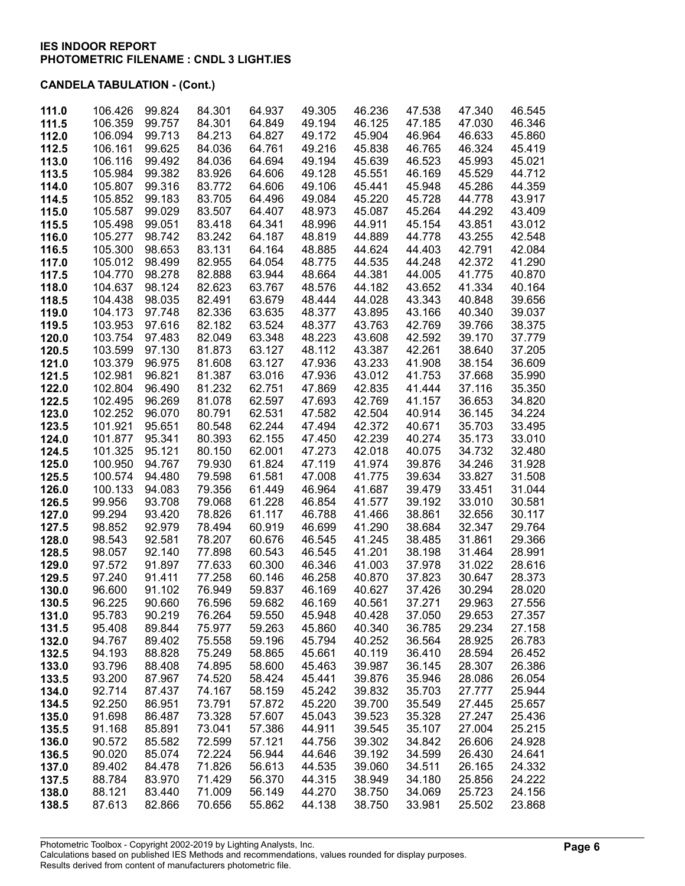| 111.0          | 106.426            | 99.824           | 84.301           | 64.937           | 49.305           | 46.236           | 47.538           | 47.340           | 46.545           |
|----------------|--------------------|------------------|------------------|------------------|------------------|------------------|------------------|------------------|------------------|
| 111.5          | 106.359            | 99.757           | 84.301           | 64.849           | 49.194           | 46.125           | 47.185           | 47.030           | 46.346           |
| 112.0          | 106.094            | 99.713           | 84.213           | 64.827           | 49.172           | 45.904           | 46.964           | 46.633           | 45.860           |
| 112.5          | 106.161            | 99.625           | 84.036           | 64.761           | 49.216           | 45.838           | 46.765           | 46.324           | 45.419           |
| 113.0          | 106.116            | 99.492           | 84.036           | 64.694           | 49.194           | 45.639           | 46.523           | 45.993           | 45.021           |
| 113.5          | 105.984            | 99.382           | 83.926           | 64.606           | 49.128           | 45.551           | 46.169           | 45.529           | 44.712           |
| 114.0          | 105.807            | 99.316           | 83.772           | 64.606           | 49.106           | 45.441           | 45.948           | 45.286           | 44.359           |
| 114.5          | 105.852            | 99.183           | 83.705           | 64.496           | 49.084           | 45.220           | 45.728           | 44.778           | 43.917           |
| 115.0          | 105.587            | 99.029           | 83.507           | 64.407           | 48.973           | 45.087           | 45.264           | 44.292           | 43.409           |
| 115.5          | 105.498            | 99.051           | 83.418           | 64.341           | 48.996           | 44.911           | 45.154           | 43.851           | 43.012           |
| 116.0          | 105.277            | 98.742           | 83.242           | 64.187           | 48.819           | 44.889           | 44.778           | 43.255           | 42.548           |
| 116.5          | 105.300            | 98.653           | 83.131           | 64.164           | 48.885           | 44.624           | 44.403           | 42.791           | 42.084           |
| 117.0          | 105.012            | 98.499           | 82.955           | 64.054           | 48.775           | 44.535           | 44.248           | 42.372           | 41.290           |
| 117.5          | 104.770            | 98.278           | 82.888           | 63.944           | 48.664           | 44.381           | 44.005           | 41.775           | 40.870           |
| 118.0          | 104.637            | 98.124           | 82.623           | 63.767           | 48.576           | 44.182           | 43.652           | 41.334           | 40.164           |
| 118.5          | 104.438            | 98.035           | 82.491           | 63.679           | 48.444           | 44.028           | 43.343           | 40.848           | 39.656           |
| 119.0          | 104.173<br>103.953 | 97.748<br>97.616 | 82.336<br>82.182 | 63.635<br>63.524 | 48.377<br>48.377 | 43.895<br>43.763 | 43.166<br>42.769 | 40.340<br>39.766 | 39.037<br>38.375 |
| 119.5<br>120.0 | 103.754            | 97.483           | 82.049           | 63.348           | 48.223           | 43.608           | 42.592           | 39.170           | 37.779           |
| 120.5          | 103.599            | 97.130           | 81.873           | 63.127           | 48.112           | 43.387           | 42.261           | 38.640           | 37.205           |
| 121.0          | 103.379            | 96.975           | 81.608           | 63.127           | 47.936           | 43.233           | 41.908           | 38.154           | 36.609           |
| 121.5          | 102.981            | 96.821           | 81.387           | 63.016           | 47.936           | 43.012           | 41.753           | 37.668           | 35.990           |
| 122.0          | 102.804            | 96.490           | 81.232           | 62.751           | 47.869           | 42.835           | 41.444           | 37.116           | 35.350           |
| 122.5          | 102.495            | 96.269           | 81.078           | 62.597           | 47.693           | 42.769           | 41.157           | 36.653           | 34.820           |
| 123.0          | 102.252            | 96.070           | 80.791           | 62.531           | 47.582           | 42.504           | 40.914           | 36.145           | 34.224           |
| 123.5          | 101.921            | 95.651           | 80.548           | 62.244           | 47.494           | 42.372           | 40.671           | 35.703           | 33.495           |
| 124.0          | 101.877            | 95.341           | 80.393           | 62.155           | 47.450           | 42.239           | 40.274           | 35.173           | 33.010           |
| 124.5          | 101.325            | 95.121           | 80.150           | 62.001           | 47.273           | 42.018           | 40.075           | 34.732           | 32.480           |
| 125.0          | 100.950            | 94.767           | 79.930           | 61.824           | 47.119           | 41.974           | 39.876           | 34.246           | 31.928           |
| 125.5          | 100.574            | 94.480           | 79.598           | 61.581           | 47.008           | 41.775           | 39.634           | 33.827           | 31.508           |
| 126.0          | 100.133            | 94.083           | 79.356           | 61.449           | 46.964           | 41.687           | 39.479           | 33.451           | 31.044           |
| 126.5          | 99.956             | 93.708           | 79.068           | 61.228           | 46.854           | 41.577           | 39.192           | 33.010           | 30.581           |
| 127.0          | 99.294             | 93.420           | 78.826           | 61.117           | 46.788           | 41.466           | 38.861           | 32.656           | 30.117           |
| 127.5          | 98.852<br>98.543   | 92.979<br>92.581 | 78.494           | 60.919           | 46.699<br>46.545 | 41.290           | 38.684           | 32.347           | 29.764<br>29.366 |
| 128.0<br>128.5 | 98.057             | 92.140           | 78.207<br>77.898 | 60.676<br>60.543 | 46.545           | 41.245<br>41.201 | 38.485<br>38.198 | 31.861<br>31.464 | 28.991           |
| 129.0          | 97.572             | 91.897           | 77.633           | 60.300           | 46.346           | 41.003           | 37.978           | 31.022           | 28.616           |
| 129.5          | 97.240             | 91.411           | 77.258           | 60.146           | 46.258           | 40.870           | 37.823           | 30.647           | 28.373           |
| 130.0          | 96.600             | 91.102           | 76.949           | 59.837           | 46.169           | 40.627           | 37.426           | 30.294           | 28.020           |
| 130.5          | 96.225             | 90.660           | 76.596           | 59.682           | 46.169           | 40.561           | 37.271           | 29.963           | 27.556           |
| 131.0          | 95.783             | 90.219           | 76.264           | 59.550           | 45.948           | 40.428           | 37.050           | 29.653           | 27.357           |
| 131.5          | 95.408             | 89.844           | 75.977           | 59.263           | 45.860           | 40.340           | 36.785           | 29.234           | 27.158           |
| 132.0          | 94.767             | 89.402           | 75.558           | 59.196           | 45.794           | 40.252           | 36.564           | 28.925           | 26.783           |
| 132.5          | 94.193             | 88.828           | 75.249           | 58.865           | 45.661           | 40.119           | 36.410           | 28.594           | 26.452           |
| 133.0          | 93.796             | 88.408           | 74.895           | 58.600           | 45.463           | 39.987           | 36.145           | 28.307           | 26.386           |
| 133.5          | 93.200             | 87.967           | 74.520           | 58.424           | 45.441           | 39.876           | 35.946           | 28.086           | 26.054           |
| 134.0          | 92.714             | 87.437           | 74.167           | 58.159           | 45.242           | 39.832           | 35.703           | 27.777           | 25.944           |
| 134.5          | 92.250             | 86.951           | 73.791           | 57.872           | 45.220           | 39.700           | 35.549           | 27.445           | 25.657           |
| 135.0          | 91.698             | 86.487           | 73.328           | 57.607           | 45.043           | 39.523           | 35.328           | 27.247           | 25.436           |
| 135.5          | 91.168<br>90.572   | 85.891           | 73.041           | 57.386           | 44.911           | 39.545           | 35.107           | 27.004<br>26.606 | 25.215<br>24.928 |
| 136.0<br>136.5 | 90.020             | 85.582<br>85.074 | 72.599<br>72.224 | 57.121<br>56.944 | 44.756<br>44.646 | 39.302<br>39.192 | 34.842<br>34.599 | 26.430           | 24.641           |
| 137.0          | 89.402             | 84.478           | 71.826           | 56.613           | 44.535           | 39.060           | 34.511           | 26.165           | 24.332           |
| 137.5          | 88.784             | 83.970           | 71.429           | 56.370           | 44.315           | 38.949           | 34.180           | 25.856           | 24.222           |
| 138.0          | 88.121             | 83.440           | 71.009           | 56.149           | 44.270           | 38.750           | 34.069           | 25.723           | 24.156           |
| 138.5          | 87.613             | 82.866           | 70.656           | 55.862           | 44.138           | 38.750           | 33.981           | 25.502           | 23.868           |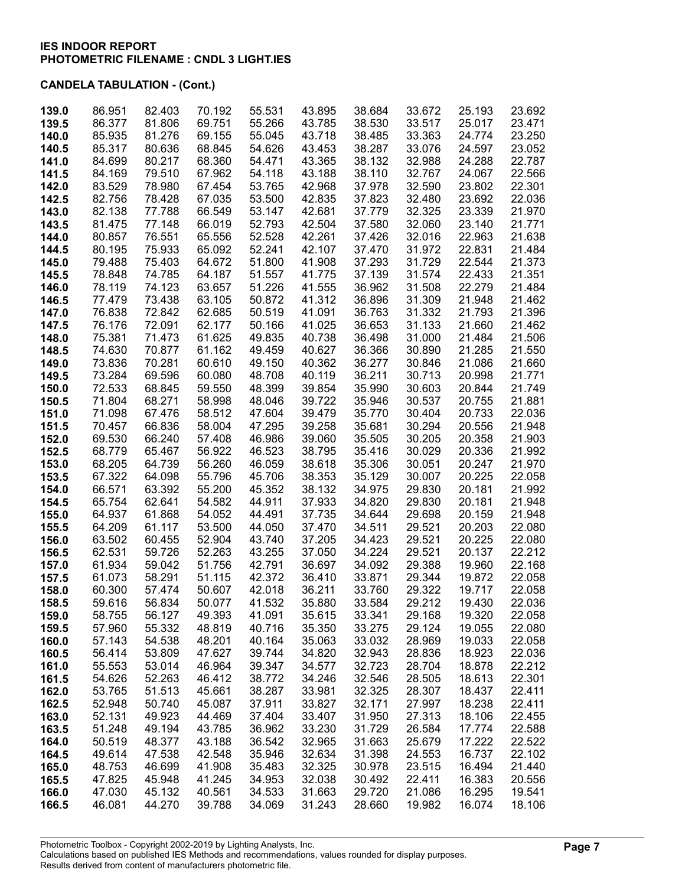| 139.0          | 86.951           | 82.403           | 70.192           | 55.531           | 43.895           | 38.684           | 33.672           | 25.193           | 23.692           |
|----------------|------------------|------------------|------------------|------------------|------------------|------------------|------------------|------------------|------------------|
| 139.5          | 86.377           | 81.806           | 69.751           | 55.266           | 43.785           | 38.530           | 33.517           | 25.017           | 23.471           |
| 140.0          | 85.935           | 81.276           | 69.155           | 55.045           | 43.718           | 38.485           | 33.363           | 24.774           | 23.250           |
| 140.5          | 85.317           | 80.636           | 68.845           | 54.626           | 43.453           | 38.287           | 33.076           | 24.597           | 23.052           |
| 141.0          | 84.699           | 80.217           | 68.360           | 54.471           | 43.365           | 38.132           | 32.988           | 24.288           | 22.787           |
| 141.5          | 84.169           | 79.510           | 67.962           | 54.118           | 43.188           | 38.110           | 32.767           | 24.067           | 22.566           |
| 142.0          | 83.529           | 78.980           | 67.454           | 53.765           | 42.968           | 37.978           | 32.590           | 23.802           | 22.301           |
| 142.5          | 82.756           | 78.428           | 67.035           | 53.500           | 42.835           | 37.823           | 32.480           | 23.692           | 22.036           |
| 143.0          | 82.138           | 77.788           | 66.549           | 53.147           | 42.681           | 37.779           | 32.325           | 23.339           | 21.970           |
| 143.5          | 81.475           | 77.148           | 66.019           | 52.793           | 42.504           | 37.580           | 32.060           | 23.140           | 21.771           |
| 144.0          | 80.857           | 76.551           | 65.556           | 52.528           | 42.261           | 37.426           | 32.016           | 22.963           | 21.638           |
| 144.5          | 80.195           | 75.933           | 65.092           | 52.241           | 42.107           | 37.470           | 31.972           | 22.831           | 21.484           |
| 145.0          | 79.488           | 75.403           | 64.672           | 51.800           | 41.908           | 37.293           | 31.729           | 22.544           | 21.373           |
| 145.5          | 78.848<br>78.119 | 74.785<br>74.123 | 64.187<br>63.657 | 51.557<br>51.226 | 41.775<br>41.555 | 37.139<br>36.962 | 31.574<br>31.508 | 22.433<br>22.279 | 21.351<br>21.484 |
| 146.0<br>146.5 | 77.479           | 73.438           | 63.105           | 50.872           | 41.312           | 36.896           | 31.309           | 21.948           | 21.462           |
| 147.0          | 76.838           | 72.842           | 62.685           | 50.519           | 41.091           | 36.763           | 31.332           | 21.793           | 21.396           |
| 147.5          | 76.176           | 72.091           | 62.177           | 50.166           | 41.025           | 36.653           | 31.133           | 21.660           | 21.462           |
| 148.0          | 75.381           | 71.473           | 61.625           | 49.835           | 40.738           | 36.498           | 31.000           | 21.484           | 21.506           |
| 148.5          | 74.630           | 70.877           | 61.162           | 49.459           | 40.627           | 36.366           | 30.890           | 21.285           | 21.550           |
| 149.0          | 73.836           | 70.281           | 60.610           | 49.150           | 40.362           | 36.277           | 30.846           | 21.086           | 21.660           |
| 149.5          | 73.284           | 69.596           | 60.080           | 48.708           | 40.119           | 36.211           | 30.713           | 20.998           | 21.771           |
| 150.0          | 72.533           | 68.845           | 59.550           | 48.399           | 39.854           | 35.990           | 30.603           | 20.844           | 21.749           |
| 150.5          | 71.804           | 68.271           | 58.998           | 48.046           | 39.722           | 35.946           | 30.537           | 20.755           | 21.881           |
| 151.0          | 71.098           | 67.476           | 58.512           | 47.604           | 39.479           | 35.770           | 30.404           | 20.733           | 22.036           |
| 151.5          | 70.457           | 66.836           | 58.004           | 47.295           | 39.258           | 35.681           | 30.294           | 20.556           | 21.948           |
| 152.0          | 69.530           | 66.240           | 57.408           | 46.986           | 39.060           | 35.505           | 30.205           | 20.358           | 21.903           |
| 152.5          | 68.779           | 65.467           | 56.922           | 46.523           | 38.795           | 35.416           | 30.029           | 20.336           | 21.992           |
| 153.0          | 68.205           | 64.739           | 56.260           | 46.059           | 38.618           | 35.306           | 30.051           | 20.247           | 21.970           |
| 153.5          | 67.322           | 64.098           | 55.796           | 45.706           | 38.353           | 35.129           | 30.007           | 20.225           | 22.058           |
| 154.0          | 66.571           | 63.392           | 55.200           | 45.352           | 38.132           | 34.975           | 29.830           | 20.181           | 21.992           |
| 154.5          | 65.754           | 62.641           | 54.582           | 44.911           | 37.933           | 34.820           | 29.830           | 20.181           | 21.948           |
| 155.0          | 64.937           | 61.868           | 54.052           | 44.491           | 37.735           | 34.644           | 29.698           | 20.159           | 21.948           |
| 155.5          | 64.209           | 61.117           | 53.500           | 44.050           | 37.470           | 34.511           | 29.521           | 20.203           | 22.080           |
| 156.0          | 63.502           | 60.455           | 52.904           | 43.740           | 37.205           | 34.423           | 29.521           | 20.225           | 22.080           |
| 156.5          | 62.531           | 59.726           | 52.263           | 43.255           | 37.050           | 34.224           | 29.521           | 20.137           | 22.212           |
| 157.0          | 61.934           | 59.042           | 51.756           | 42.791           | 36.697           | 34.092           | 29.388           | 19.960           | 22.168           |
| 157.5          | 61.073           | 58.291           | 51.115           | 42.372<br>42.018 | 36.410           | 33.871           | 29.344<br>29.322 | 19.872           | 22.058           |
| 158.0<br>158.5 | 60.300<br>59.616 | 57.474<br>56.834 | 50.607<br>50.077 | 41.532           | 36.211<br>35.880 | 33.760<br>33.584 | 29.212           | 19.717<br>19.430 | 22.058<br>22.036 |
| 159.0          | 58.755           | 56.127           | 49.393           | 41.091           | 35.615           | 33.341           | 29.168           | 19.320           | 22.058           |
| 159.5          | 57.960           | 55.332           | 48.819           | 40.716           | 35.350           | 33.275           | 29.124           | 19.055           | 22.080           |
| 160.0          | 57.143           | 54.538           | 48.201           | 40.164           | 35.063           | 33.032           | 28.969           | 19.033           | 22.058           |
| 160.5          | 56.414           | 53.809           | 47.627           | 39.744           | 34.820           | 32.943           | 28.836           | 18.923           | 22.036           |
| 161.0          | 55.553           | 53.014           | 46.964           | 39.347           | 34.577           | 32.723           | 28.704           | 18.878           | 22.212           |
| 161.5          | 54.626           | 52.263           | 46.412           | 38.772           | 34.246           | 32.546           | 28.505           | 18.613           | 22.301           |
| 162.0          | 53.765           | 51.513           | 45.661           | 38.287           | 33.981           | 32.325           | 28.307           | 18.437           | 22.411           |
| 162.5          | 52.948           | 50.740           | 45.087           | 37.911           | 33.827           | 32.171           | 27.997           | 18.238           | 22.411           |
| 163.0          | 52.131           | 49.923           | 44.469           | 37.404           | 33.407           | 31.950           | 27.313           | 18.106           | 22.455           |
| 163.5          | 51.248           | 49.194           | 43.785           | 36.962           | 33.230           | 31.729           | 26.584           | 17.774           | 22.588           |
| 164.0          | 50.519           | 48.377           | 43.188           | 36.542           | 32.965           | 31.663           | 25.679           | 17.222           | 22.522           |
| 164.5          | 49.614           | 47.538           | 42.548           | 35.946           | 32.634           | 31.398           | 24.553           | 16.737           | 22.102           |
| 165.0          | 48.753           | 46.699           | 41.908           | 35.483           | 32.325           | 30.978           | 23.515           | 16.494           | 21.440           |
| 165.5          | 47.825           | 45.948           | 41.245           | 34.953           | 32.038           | 30.492           | 22.411           | 16.383           | 20.556           |
| 166.0          | 47.030           | 45.132           | 40.561           | 34.533           | 31.663           | 29.720           | 21.086           | 16.295           | 19.541           |
| 166.5          | 46.081           | 44.270           | 39.788           | 34.069           | 31.243           | 28.660           | 19.982           | 16.074           | 18.106           |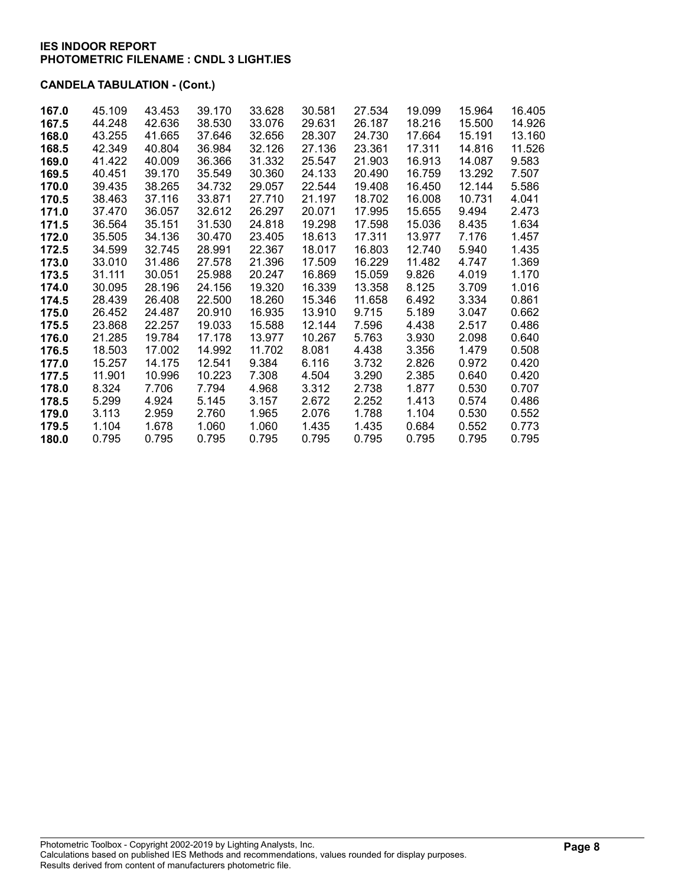| 167.0 | 45.109 | 43.453 | 39.170 | 33.628 | 30.581 | 27.534 | 19.099 | 15.964 | 16.405 |
|-------|--------|--------|--------|--------|--------|--------|--------|--------|--------|
| 167.5 | 44.248 | 42.636 | 38.530 | 33.076 | 29.631 | 26.187 | 18.216 | 15.500 | 14.926 |
| 168.0 | 43.255 | 41.665 | 37.646 | 32.656 | 28,307 | 24.730 | 17.664 | 15.191 | 13.160 |
| 168.5 | 42.349 | 40.804 | 36.984 | 32.126 | 27.136 | 23.361 | 17.311 | 14.816 | 11.526 |
| 169.0 | 41.422 | 40.009 | 36.366 | 31.332 | 25.547 | 21.903 | 16.913 | 14.087 | 9.583  |
| 169.5 | 40.451 | 39.170 | 35.549 | 30.360 | 24.133 | 20.490 | 16.759 | 13.292 | 7.507  |
| 170.0 | 39.435 | 38.265 | 34.732 | 29.057 | 22.544 | 19.408 | 16.450 | 12.144 | 5.586  |
| 170.5 | 38.463 | 37.116 | 33.871 | 27.710 | 21.197 | 18.702 | 16.008 | 10.731 | 4.041  |
| 171.0 | 37.470 | 36.057 | 32.612 | 26.297 | 20.071 | 17.995 | 15.655 | 9.494  | 2.473  |
| 171.5 | 36.564 | 35.151 | 31.530 | 24.818 | 19.298 | 17.598 | 15.036 | 8.435  | 1.634  |
| 172.0 | 35.505 | 34.136 | 30.470 | 23.405 | 18.613 | 17.311 | 13.977 | 7.176  | 1.457  |
| 172.5 | 34.599 | 32.745 | 28.991 | 22.367 | 18.017 | 16.803 | 12.740 | 5.940  | 1.435  |
| 173.0 | 33.010 | 31.486 | 27.578 | 21.396 | 17.509 | 16.229 | 11.482 | 4.747  | 1.369  |
| 173.5 | 31.111 | 30.051 | 25.988 | 20.247 | 16.869 | 15.059 | 9.826  | 4.019  | 1.170  |
| 174.0 | 30.095 | 28.196 | 24.156 | 19.320 | 16.339 | 13.358 | 8.125  | 3.709  | 1.016  |
| 174.5 | 28.439 | 26.408 | 22.500 | 18.260 | 15.346 | 11.658 | 6.492  | 3.334  | 0.861  |
| 175.0 | 26.452 | 24.487 | 20.910 | 16.935 | 13.910 | 9.715  | 5.189  | 3.047  | 0.662  |
| 175.5 | 23.868 | 22.257 | 19.033 | 15.588 | 12.144 | 7.596  | 4.438  | 2.517  | 0.486  |
| 176.0 | 21.285 | 19.784 | 17.178 | 13.977 | 10.267 | 5.763  | 3.930  | 2.098  | 0.640  |
| 176.5 | 18.503 | 17.002 | 14.992 | 11.702 | 8.081  | 4.438  | 3.356  | 1.479  | 0.508  |
| 177.0 | 15.257 | 14.175 | 12.541 | 9.384  | 6.116  | 3.732  | 2.826  | 0.972  | 0.420  |
| 177.5 | 11.901 | 10.996 | 10.223 | 7.308  | 4.504  | 3.290  | 2.385  | 0.640  | 0.420  |
| 178.0 | 8.324  | 7.706  | 7.794  | 4.968  | 3.312  | 2.738  | 1.877  | 0.530  | 0.707  |
| 178.5 | 5.299  | 4.924  | 5.145  | 3.157  | 2.672  | 2.252  | 1.413  | 0.574  | 0.486  |
| 179.0 | 3.113  | 2.959  | 2.760  | 1.965  | 2.076  | 1.788  | 1.104  | 0.530  | 0.552  |
| 179.5 | 1.104  | 1.678  | 1.060  | 1.060  | 1.435  | 1.435  | 0.684  | 0.552  | 0.773  |
| 180.0 | 0.795  | 0.795  | 0.795  | 0.795  | 0.795  | 0.795  | 0.795  | 0.795  | 0.795  |
|       |        |        |        |        |        |        |        |        |        |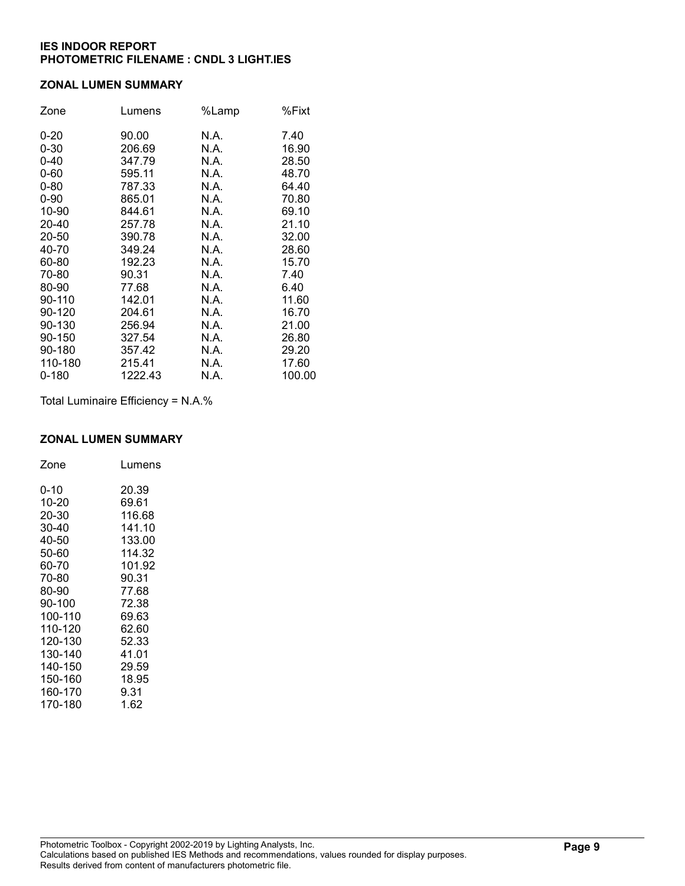#### ZONAL LUMEN SUMMARY

| Zone     | Lumens  | %Lamp | %Fixt  |
|----------|---------|-------|--------|
| $0 - 20$ | 90.00   | N.A.  | 7.40   |
| $0 - 30$ | 206.69  | N.A.  | 16.90  |
| $0 - 40$ | 347.79  | N.A.  | 28.50  |
| $0 - 60$ | 595.11  | N.A.  | 48.70  |
| $0 - 80$ | 787.33  | N.A.  | 64.40  |
| $0 - 90$ | 865.01  | N.A.  | 70.80  |
| 10-90    | 844.61  | N.A.  | 69.10  |
| 20-40    | 257.78  | N.A.  | 21.10  |
| 20-50    | 390.78  | N.A.  | 32.00  |
| 40-70    | 349.24  | N.A.  | 28.60  |
| 60-80    | 192.23  | N.A.  | 15.70  |
| 70-80    | 90.31   | N.A.  | 7.40   |
| 80-90    | 77.68   | N.A.  | 6.40   |
| 90-110   | 142.01  | N.A.  | 11.60  |
| 90-120   | 204.61  | N.A.  | 16.70  |
| 90-130   | 256.94  | N.A.  | 21.00  |
| 90-150   | 327.54  | N.A.  | 26.80  |
| 90-180   | 357.42  | N.A.  | 29.20  |
| 110-180  | 215.41  | N.A.  | 17.60  |
| 0-180    | 1222.43 | N.A.  | 100.00 |

Total Luminaire Efficiency = N.A.%

## ZONAL LUMEN SUMMARY

| Zone    | Lumens |
|---------|--------|
| 0-10    | 20.39  |
| 10-20   | 69.61  |
| 20-30   | 116.68 |
| 30-40   | 141.10 |
| 40-50   | 133.00 |
| 50-60   | 114.32 |
| 60-70   | 101.92 |
| 70-80   | 90.31  |
| 80-90   | 77.68  |
| 90-100  | 72.38  |
| 100-110 | 69.63  |
| 110-120 | 62.60  |
| 120-130 | 52.33  |
| 130-140 | 41.01  |
| 140-150 | 29.59  |
| 150-160 | 18.95  |
| 160-170 | 9.31   |
| 170-180 | 1.62   |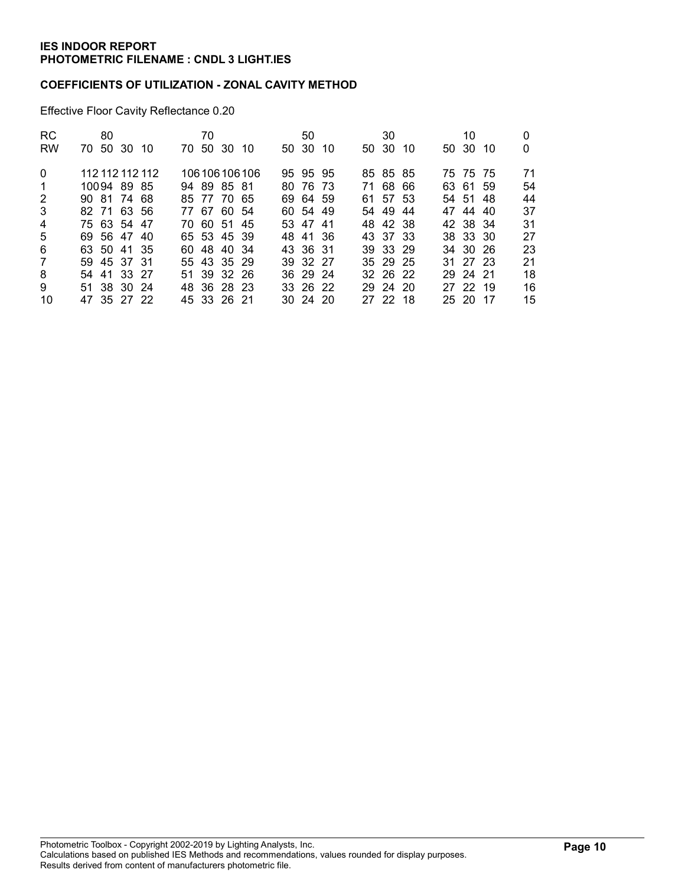### COEFFICIENTS OF UTILIZATION - ZONAL CAVITY METHOD

Effective Floor Cavity Reflectance 0.20

| <b>RC</b>      |             | 80 |             |                 | 70       |             |                 | 50           |     | 30       |     | 10       |     |    |
|----------------|-------------|----|-------------|-----------------|----------|-------------|-----------------|--------------|-----|----------|-----|----------|-----|----|
| <b>RW</b>      |             |    | 70 50 30 10 |                 | 70 50 30 |             | - 10            | 50 30        | -10 | 50 30    | -10 | 50 30    | -10 | 0  |
| $\Omega$       |             |    |             | 112 112 112 112 |          |             | 106 106 106 106 | 95 95 95     |     | 85 85 85 |     | 75 75 75 |     | 71 |
| 1              |             |    | 10094 89 85 |                 |          | 94 89 85 81 |                 | 80 76 73     |     | 71 68 66 |     | 63 61 59 |     | 54 |
| 2              |             |    | 90 81 74 68 |                 |          | 85 77 70 65 |                 | 69 64 59     |     | 61 57 53 |     | 54 51 48 |     | 44 |
| 3              | 82 71 63 56 |    |             |                 |          | 77 67 60 54 |                 | 60 54 49     |     | 54 49    | -44 | 47 44 40 |     | 37 |
| $\overline{4}$ |             |    | 75 63 54 47 |                 |          | 70 60 51 45 |                 | 53 47 41     |     | 48 42 38 |     | 42 38 34 |     | 31 |
| 5              | 69 56 47 40 |    |             |                 |          | 65 53 45 39 |                 | 48 41 36     |     | 43 37 33 |     | 38 33 30 |     | 27 |
| 6              | 63 50 41 35 |    |             |                 |          | 60 48 40 34 |                 | 43 36 31     |     | 39 33 29 |     | 34 30 26 |     | 23 |
| 7              |             |    | 59 45 37 31 |                 |          | 55 43 35 29 |                 | 39 32 27     |     | 35 29 25 |     | 31 27 23 |     | 21 |
| 8              | 54 41 33 27 |    |             |                 |          | 51 39 32 26 |                 | 36 29 24     |     | 32 26 22 |     | 29 24 21 |     | 18 |
| 9              | 51 38 30 24 |    |             |                 |          | 48 36 28 23 |                 | 33 26 22     |     | 29 24 20 |     | 27 22 19 |     | 16 |
| 10             | 47 35 27 22 |    |             |                 |          | 45 33 26 21 |                 | $30\,24\,20$ |     | 27 22 18 |     | 25 20 17 |     | 15 |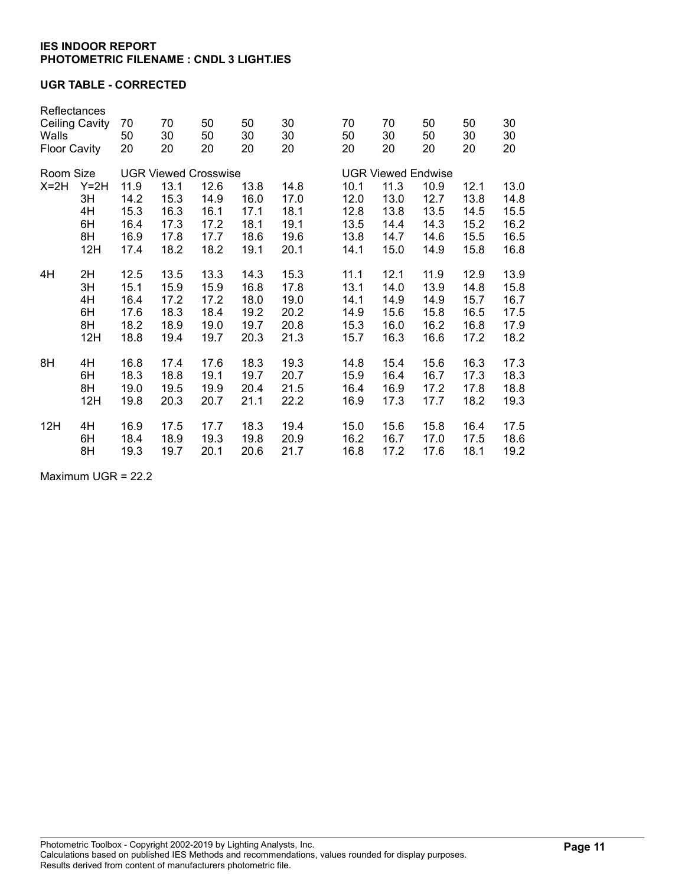## UGR TABLE - CORRECTED

| Reflectances<br><b>Ceiling Cavity</b><br>Walls<br><b>Floor Cavity</b> |                                       | 70<br>50<br>20                               | 70<br>30<br>20                                                              | 50<br>50<br>20                               | 50<br>30<br>20                               | 30<br>30<br>20                               | 70<br>50<br>20                               | 70<br>30<br>20                               | 50<br>50<br>20                                                            | 50<br>30<br>20                               | 30<br>30<br>20                               |
|-----------------------------------------------------------------------|---------------------------------------|----------------------------------------------|-----------------------------------------------------------------------------|----------------------------------------------|----------------------------------------------|----------------------------------------------|----------------------------------------------|----------------------------------------------|---------------------------------------------------------------------------|----------------------------------------------|----------------------------------------------|
| Room Size<br>$X=2H$                                                   | $Y=2H$<br>3H<br>4H<br>6H<br>8H<br>12H | 11.9<br>14.2<br>15.3<br>16.4<br>16.9<br>17.4 | <b>UGR Viewed Crosswise</b><br>13.1<br>15.3<br>16.3<br>17.3<br>17.8<br>18.2 | 12.6<br>14.9<br>16.1<br>17.2<br>17.7<br>18.2 | 13.8<br>16.0<br>17.1<br>18.1<br>18.6<br>19.1 | 14.8<br>17.0<br>18.1<br>19.1<br>19.6<br>20.1 | 10.1<br>12.0<br>12.8<br>13.5<br>13.8<br>14.1 | 11.3<br>13.0<br>13.8<br>14.4<br>14.7<br>15.0 | <b>UGR Viewed Endwise</b><br>10.9<br>12.7<br>13.5<br>14.3<br>14.6<br>14.9 | 12.1<br>13.8<br>14.5<br>15.2<br>15.5<br>15.8 | 13.0<br>14.8<br>15.5<br>16.2<br>16.5<br>16.8 |
| 4H                                                                    | 2H                                    | 12.5                                         | 13.5                                                                        | 13.3                                         | 14.3                                         | 15.3                                         | 11.1                                         | 12.1                                         | 11.9                                                                      | 12.9                                         | 13.9                                         |
|                                                                       | 3H                                    | 15.1                                         | 15.9                                                                        | 15.9                                         | 16.8                                         | 17.8                                         | 13.1                                         | 14.0                                         | 13.9                                                                      | 14.8                                         | 15.8                                         |
|                                                                       | 4H                                    | 16.4                                         | 17.2                                                                        | 17.2                                         | 18.0                                         | 19.0                                         | 14.1                                         | 14.9                                         | 14.9                                                                      | 15.7                                         | 16.7                                         |
|                                                                       | 6H                                    | 17.6                                         | 18.3                                                                        | 18.4                                         | 19.2                                         | 20.2                                         | 14.9                                         | 15.6                                         | 15.8                                                                      | 16.5                                         | 17.5                                         |
|                                                                       | 8H                                    | 18.2                                         | 18.9                                                                        | 19.0                                         | 19.7                                         | 20.8                                         | 15.3                                         | 16.0                                         | 16.2                                                                      | 16.8                                         | 17.9                                         |
|                                                                       | 12H                                   | 18.8                                         | 19.4                                                                        | 19.7                                         | 20.3                                         | 21.3                                         | 15.7                                         | 16.3                                         | 16.6                                                                      | 17.2                                         | 18.2                                         |
| 8H                                                                    | 4H                                    | 16.8                                         | 17.4                                                                        | 17.6                                         | 18.3                                         | 19.3                                         | 14.8                                         | 15.4                                         | 15.6                                                                      | 16.3                                         | 17.3                                         |
|                                                                       | 6H                                    | 18.3                                         | 18.8                                                                        | 19.1                                         | 19.7                                         | 20.7                                         | 15.9                                         | 16.4                                         | 16.7                                                                      | 17.3                                         | 18.3                                         |
|                                                                       | 8H                                    | 19.0                                         | 19.5                                                                        | 19.9                                         | 20.4                                         | 21.5                                         | 16.4                                         | 16.9                                         | 17.2                                                                      | 17.8                                         | 18.8                                         |
|                                                                       | 12H                                   | 19.8                                         | 20.3                                                                        | 20.7                                         | 21.1                                         | 22.2                                         | 16.9                                         | 17.3                                         | 17.7                                                                      | 18.2                                         | 19.3                                         |
| 12H                                                                   | 4H                                    | 16.9                                         | 17.5                                                                        | 17.7                                         | 18.3                                         | 19.4                                         | 15.0                                         | 15.6                                         | 15.8                                                                      | 16.4                                         | 17.5                                         |
|                                                                       | 6H                                    | 18.4                                         | 18.9                                                                        | 19.3                                         | 19.8                                         | 20.9                                         | 16.2                                         | 16.7                                         | 17.0                                                                      | 17.5                                         | 18.6                                         |
|                                                                       | 8H                                    | 19.3                                         | 19.7                                                                        | 20.1                                         | 20.6                                         | 21.7                                         | 16.8                                         | 17.2                                         | 17.6                                                                      | 18.1                                         | 19.2                                         |

Maximum UGR = 22.2